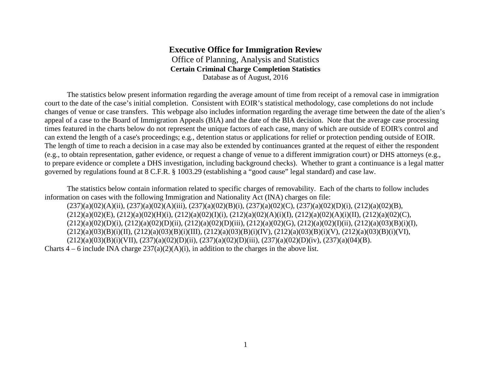## **Executive Office for Immigration Review** Office of Planning, Analysis and Statistics **Certain Criminal Charge Completion Statistics** Database as of August, 2016

The statistics below present information regarding the average amount of time from receipt of a removal case in immigration court to the date of the case's initial completion. Consistent with EOIR's statistical methodology, case completions do not include changes of venue or case transfers. This webpage also includes information regarding the average time between the date of the alien's appeal of a case to the Board of Immigration Appeals (BIA) and the date of the BIA decision. Note that the average case processing times featured in the charts below do not represent the unique factors of each case, many of which are outside of EOIR's control and can extend the length of a case's proceedings; e.g., detention status or applications for relief or protection pending outside of EOIR. The length of time to reach a decision in a case may also be extended by continuances granted at the request of either the respondent (e.g., to obtain representation, gather evidence, or request a change of venue to a different immigration court) or DHS attorneys (e.g., to prepare evidence or complete a DHS investigation, including background checks). Whether to grant a continuance is a legal matter governed by regulations found at 8 C.F.R. § 1003.29 (establishing a "good cause" legal standard) and case law.

The statistics below contain information related to specific charges of removability. Each of the charts to follow includes information on cases with the following Immigration and Nationality Act (INA) charges on file: (237)(a)(02)(A)(ii), (237)(a)(02)(A)(iii), (237)(a)(02)(B)(i), (237)(a)(02)(C), (237)(a)(02)(D)(i), (212)(a)(02)(B),  $(212)(a)(02)(E)$ ,  $(212)(a)(02)(H)(i)$ ,  $(212)(a)(02)(I)(i)$ ,  $(212)(a)(02)(A)(i)(I)$ ,  $(212)(a)(02)(A)(i)(II)$ ,  $(212)(a)(02)(C)$ ,  $(212)(a)(02)(D)(i)$ ,  $(212)(a)(02)(D)(ii)$ ,  $(212)(a)(02)(D)(iii)$ ,  $(212)(a)(02)(G)$ ,  $(212)(a)(02)(I)(ii)$ ,  $(212)(a)(03)(B)(i)(I)$ ,  $(212)(a)(03)(B)(i)(II), (212)(a)(03)(B)(i)(III), (212)(a)(03)(B)(i)(IV), (212)(a)(03)(B)(i)(V), (212)(a)(03)(B)(i)(VI),$ 

 $(212)(a)(03)(B)(i)(VII)$ ,  $(237)(a)(02)(D)(ii)$ ,  $(237)(a)(02)(D)(iii)$ ,  $(237)(a)(02)(D)(iv)$ ,  $(237)(a)(04)(B)$ .

Charts  $4 - 6$  include INA charge  $237(a)(2)(A)(i)$ , in addition to the charges in the above list.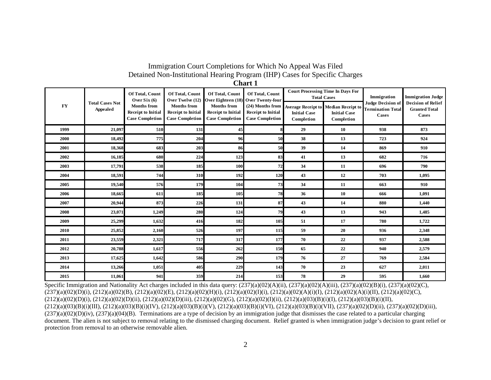# Immigration Court Completions for Which No Appeal Was Filed Detained Non-Institutional Hearing Program (IHP) Cases for Specific Charges

| ${\bf F}{\bf Y}$ | <b>Total Cases Not</b><br><b>Appealed</b> | Of Total, Count<br>Over Six $(6)$<br><b>Months</b> from<br><b>Receipt to Initial</b><br><b>Case Completion</b> | Of Total, Count<br>Over Twelve (12)<br><b>Months</b> from<br><b>Receipt to Initial</b><br><b>Case Completion</b> | Of Total, Count<br>Over Eighteen (18)<br><b>Months from</b><br><b>Receipt to Initial</b><br><b>Case Completion</b> | Of Total, Count<br>Over Twenty-four<br>(24) Months from<br><b>Receipt to Initial</b><br><b>Case Completion</b> | <b>Court Processing Time In Days For</b><br><b>Initial Case</b> | <b>Total Cases</b><br><b>Average Receipt to Median Receipt to</b><br><b>Initial Case</b> | Immigration<br><b>Judge Decision of</b><br><b>Termination Total</b><br>Cases | <b>Immigration Judge</b><br><b>Decision of Relief</b><br><b>Granted Total</b><br>Cases |
|------------------|-------------------------------------------|----------------------------------------------------------------------------------------------------------------|------------------------------------------------------------------------------------------------------------------|--------------------------------------------------------------------------------------------------------------------|----------------------------------------------------------------------------------------------------------------|-----------------------------------------------------------------|------------------------------------------------------------------------------------------|------------------------------------------------------------------------------|----------------------------------------------------------------------------------------|
|                  |                                           |                                                                                                                |                                                                                                                  |                                                                                                                    |                                                                                                                | Completion                                                      | Completion                                                                               |                                                                              |                                                                                        |
| 1999             | 21,097                                    | 510                                                                                                            | 131                                                                                                              | 45                                                                                                                 |                                                                                                                | 29                                                              | 10                                                                                       | 938                                                                          | 873                                                                                    |
| 2000             | 18,492                                    | 775                                                                                                            | 204                                                                                                              | 96                                                                                                                 | 50                                                                                                             | 38                                                              | 13                                                                                       | 723                                                                          | 924                                                                                    |
| 2001             | 18,368                                    | 683                                                                                                            | 203                                                                                                              | 86                                                                                                                 | 50                                                                                                             | 39                                                              | 14                                                                                       | 869                                                                          | 910                                                                                    |
| 2002             | 16,185                                    | 680                                                                                                            | 224                                                                                                              | 123                                                                                                                | 83                                                                                                             | 41                                                              | 13                                                                                       | 682                                                                          | 716                                                                                    |
| 2003             | 17,791                                    | 538                                                                                                            | 185                                                                                                              | 100                                                                                                                | 72                                                                                                             | 34                                                              | 11                                                                                       | 696                                                                          | 790                                                                                    |
| 2004             | 18,591                                    | 744                                                                                                            | 310                                                                                                              | 192                                                                                                                | 120                                                                                                            | 43                                                              | 12                                                                                       | 703                                                                          | 1,095                                                                                  |
| 2005             | 19,540                                    | 576                                                                                                            | 179                                                                                                              | 104                                                                                                                | 73                                                                                                             | 34                                                              | 11                                                                                       | 663                                                                          | 910                                                                                    |
| 2006             | 18,665                                    | 611                                                                                                            | 185                                                                                                              | 105                                                                                                                | 78                                                                                                             | 36                                                              | 10                                                                                       | 666                                                                          | 1,091                                                                                  |
| 2007             | 20,944                                    | 873                                                                                                            | 226                                                                                                              | 131                                                                                                                | 87                                                                                                             | 43                                                              | 14                                                                                       | 880                                                                          | 1,440                                                                                  |
| 2008             | 23,071                                    | 1,249                                                                                                          | 280                                                                                                              | 124                                                                                                                | 79                                                                                                             | 43                                                              | 13                                                                                       | 943                                                                          | 1,485                                                                                  |
| 2009             | 25,299                                    | 1,632                                                                                                          | 416                                                                                                              | 182                                                                                                                | 105                                                                                                            | 51                                                              | 17                                                                                       | 780                                                                          | 1,722                                                                                  |
| 2010             | 25,852                                    | 2,160                                                                                                          | 526                                                                                                              | 197                                                                                                                | 115                                                                                                            | 59                                                              | 20                                                                                       | 936                                                                          | 2,348                                                                                  |
| 2011             | 23,559                                    | 2,321                                                                                                          | 717                                                                                                              | 317                                                                                                                | 177                                                                                                            | 70                                                              | 22                                                                                       | 937                                                                          | 2,588                                                                                  |
| 2012             | 20,788                                    | 1,617                                                                                                          | 556                                                                                                              | 262                                                                                                                | 150                                                                                                            | 65                                                              | 22                                                                                       | 940                                                                          | 2,579                                                                                  |
| 2013             | 17,625                                    | 1,642                                                                                                          | 586                                                                                                              | 290                                                                                                                | 179                                                                                                            | 76                                                              | 27                                                                                       | 769                                                                          | 2,584                                                                                  |
| 2014             | 13,266                                    | 1,051                                                                                                          | 405                                                                                                              | 229                                                                                                                | 143                                                                                                            | 70                                                              | 23                                                                                       | 627                                                                          | 2,011                                                                                  |
| 2015             | 11,061                                    | 941                                                                                                            | 359                                                                                                              | 214                                                                                                                | 153                                                                                                            | 78                                                              | 29                                                                                       | 595                                                                          | 1,660                                                                                  |

Specific Immigration and Nationality Act charges included in this data query:  $(237)(a)(02)(A)(ii)$ ,  $(237)(a)(02)(A)(iii)$ ,  $(237)(a)(02)(B)(i)$ ,  $(237)(a)(02)(C)$ ,  $(237)(a)(02)(D)(i)$ ,  $(212)(a)(02)(B)$ ,  $(212)(a)(02)(E)$ ,  $(212)(a)(02)(H)(i)$ ,  $(212)(a)(02)(I)(i)$ ,  $(212)(a)(02)(A)(i)(I)$ ,  $(212)(a)(02)(A)(i)(II)$ ,  $(212)(a)(02)(C)$ ,  $(212)(a)(02)(D)(i)$ ,  $(212)(a)(02)(D)(ii)$ ,  $(212)(a)(02)(D)(iii)$ ,  $(212)(a)(02)(G)$ ,  $(212)(a)(02)(I)(ii)$ ,  $(212)(a)(03)(B)(i)(I)$ ,  $(212)(a)(03)(B)(i)(II)$ ,  $(212)(a)(03)(B)(i)(III), (212)(a)(03)(B)(i)(IV), (212)(a)(03)(B)(i)(V), (212)(a)(03)(B)(i)(VI), (212)(a)(03)(B)(i)(VII), (237)(a)(02)(D)(ii), (237)(a)(02)(D)(iii),$  $(237)(a)(02)(D)(iv)$ ,  $(237)(a)(04)(B)$ . Terminations are a type of decision by an immigration judge that dismisses the case related to a particular charging document. The alien is not subject to removal relating to the dismissed charging document. Relief granted is when immigration judge's decision to grant relief or protection from removal to an otherwise removable alien.

**Chart 1**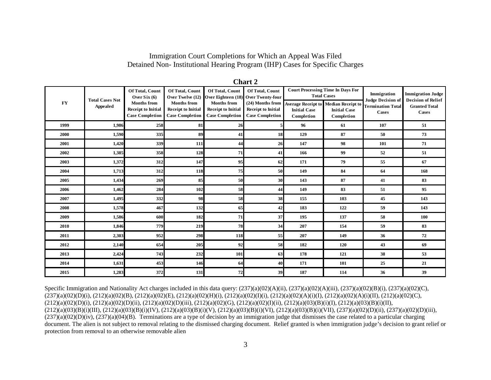Immigration Court Completions for Which an Appeal Was Filed Detained Non- Institutional Hearing Program (IHP) Cases for Specific Charges

|           |                                    |                                                                                                                |                                                                                                                  |                                                                                                                    | vwu e s                                                                                                               |                                   |                                                                                                                                             |                                                                              |                                                                                               |
|-----------|------------------------------------|----------------------------------------------------------------------------------------------------------------|------------------------------------------------------------------------------------------------------------------|--------------------------------------------------------------------------------------------------------------------|-----------------------------------------------------------------------------------------------------------------------|-----------------------------------|---------------------------------------------------------------------------------------------------------------------------------------------|------------------------------------------------------------------------------|-----------------------------------------------------------------------------------------------|
| <b>FY</b> | <b>Total Cases Not</b><br>Appealed | Of Total, Count<br>Over Six $(6)$<br><b>Months</b> from<br><b>Receipt to Initial</b><br><b>Case Completion</b> | Of Total, Count<br>Over Twelve (12)<br><b>Months from</b><br><b>Receipt to Initial</b><br><b>Case Completion</b> | Of Total, Count<br>Over Eighteen (18)<br><b>Months</b> from<br><b>Receipt to Initial</b><br><b>Case Completion</b> | Of Total, Count<br><b>Over Twenty-four</b><br>(24) Months from<br><b>Receipt to Initial</b><br><b>Case Completion</b> | <b>Initial Case</b><br>Completion | <b>Court Processing Time In Days For</b><br><b>Total Cases</b><br>Average Receipt to Median Receipt to<br><b>Initial Case</b><br>Completion | Immigration<br><b>Judge Decision of</b><br><b>Termination Total</b><br>Cases | <b>Immigration Judge</b><br><b>Decision of Relief</b><br><b>Granted Total</b><br><b>Cases</b> |
| 1999      | 1,986                              | 258                                                                                                            | 81                                                                                                               | 26                                                                                                                 |                                                                                                                       | 96                                | 61                                                                                                                                          | 107                                                                          | 51                                                                                            |
| 2000      | 1,590                              | 335                                                                                                            | 89                                                                                                               | 41                                                                                                                 | 18                                                                                                                    | 129                               | 87                                                                                                                                          | 50                                                                           | 73                                                                                            |
| 2001      | 1,420                              | 339                                                                                                            | 111                                                                                                              | 44                                                                                                                 | 26                                                                                                                    | 147                               | 98                                                                                                                                          | 101                                                                          | 71                                                                                            |
| 2002      | 1,385                              | 358                                                                                                            | 128                                                                                                              | 71                                                                                                                 | 41                                                                                                                    | 166                               | 99                                                                                                                                          | 52                                                                           | 51                                                                                            |
| 2003      | 1,372                              | 312                                                                                                            | 147                                                                                                              | 95                                                                                                                 | 62                                                                                                                    | 171                               | 79                                                                                                                                          | 55                                                                           | 67                                                                                            |
| 2004      | 1,713                              | 312                                                                                                            | 118                                                                                                              | 75                                                                                                                 | 50                                                                                                                    | 149                               | 84                                                                                                                                          | 64                                                                           | 168                                                                                           |
| 2005      | 1,434                              | 269                                                                                                            | 85                                                                                                               | 50                                                                                                                 | 30                                                                                                                    | 143                               | 87                                                                                                                                          | 41                                                                           | 83                                                                                            |
| 2006      | 1,462                              | 284                                                                                                            | 102                                                                                                              | 58                                                                                                                 | 44                                                                                                                    | 149                               | 83                                                                                                                                          | 51                                                                           | 95                                                                                            |
| 2007      | 1,495                              | 332                                                                                                            | 98                                                                                                               | 58                                                                                                                 | 38                                                                                                                    | 155                               | 103                                                                                                                                         | 45                                                                           | 143                                                                                           |
| 2008      | 1,578                              | 467                                                                                                            | 132                                                                                                              | 65                                                                                                                 | 42                                                                                                                    | 183                               | 122                                                                                                                                         | 59                                                                           | 143                                                                                           |
| 2009      | 1,586                              | 600                                                                                                            | 182                                                                                                              | 71                                                                                                                 | 37                                                                                                                    | 195                               | 137                                                                                                                                         | 58                                                                           | 100                                                                                           |
| 2010      | 1,846                              | 779                                                                                                            | 219                                                                                                              | 78                                                                                                                 | 34                                                                                                                    | 207                               | 154                                                                                                                                         | 59                                                                           | 83                                                                                            |
| 2011      | 2,303                              | 952                                                                                                            | 298                                                                                                              | 118                                                                                                                | 55                                                                                                                    | 207                               | 149                                                                                                                                         | 36                                                                           | 72                                                                                            |
| 2012      | 2,140                              | 654                                                                                                            | 205                                                                                                              | 92                                                                                                                 | 58                                                                                                                    | 182                               | 120                                                                                                                                         | 43                                                                           | 69                                                                                            |
| 2013      | 2,424                              | 743                                                                                                            | 232                                                                                                              | 101                                                                                                                | 63                                                                                                                    | 178                               | 121                                                                                                                                         | 38                                                                           | 53                                                                                            |
| 2014      | 1,631                              | 453                                                                                                            | 146                                                                                                              | 64                                                                                                                 | 40                                                                                                                    | 171                               | 101                                                                                                                                         | 25                                                                           | 21                                                                                            |
| 2015      | 1,283                              | 372                                                                                                            | 131                                                                                                              | 72                                                                                                                 | 39                                                                                                                    | 187                               | 114                                                                                                                                         | 36                                                                           | 39                                                                                            |

**Chart 2**

Specific Immigration and Nationality Act charges included in this data query:  $(237)(a)(02)(A)(ii)$ ,  $(237)(a)(02)(A)(iii)$ ,  $(237)(a)(02)(B)(i)$ ,  $(237)(a)(02)(C)$ , (237)(a)(02)(D)(i), (212)(a)(02)(B), (212)(a)(02)(E), (212)(a)(02)(H)(i), (212)(a)(02)(I)(i), (212)(a)(02)(A)(i)(I), (212)(a)(02)(A)(i)(II), (212)(a)(02)(C),  $(212)(a)(02)(D)(i)$ ,  $(212)(a)(02)(D)(ii)$ ,  $(212)(a)(02)(D)(iii)$ ,  $(212)(a)(02)(G)$ ,  $(212)(a)(02)(I)(ii)$ ,  $(212)(a)(03)(B)(i)(I)$ ,  $(212)(a)(03)(B)(i)(II)$ ,  $(212)(a)(03)(B)(i)(III)$ ,  $(212)(a)(03)(B)(i)(IV)$ ,  $(212)(a)(03)(B)(i)(V)$ ,  $(212)(a)(03)(B)(i)(VI)$ ,  $(212)(a)(03)(B)(i)(VII)$ ,  $(237)(a)(02)(D)(ii)$ ,  $(237)(a)(02)(D)(iii)$ ,  $(237)(a)(02)(D)(iv)$ ,  $(237)(a)(04)(B)$ . Terminations are a type of decision by an immigration judge that dismisses the case related to a particular charging document. The alien is not subject to removal relating to the dismissed charging document. Relief granted is when immigration judge's decision to grant relief or protection from removal to an otherwise removable alien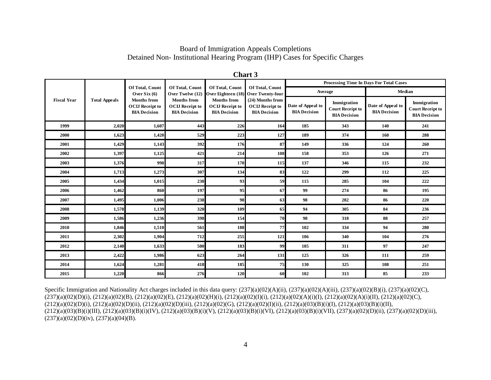#### Board of Immigration Appeals Completions Detained Non- Institutional Hearing Program (IHP) Cases for Specific Charges

|                    | <b>Total Appeals</b> | Of Total, Count<br>Over $Six(6)$<br><b>Months from</b><br><b>OCIJ Receipt to</b><br><b>BIA Decision</b> | Of Total, Count<br>Over Twelve (12)<br><b>Months</b> from<br><b>OCIJ Receipt to</b><br><b>BIA Decision</b> | Of Total, Count<br>Over Eighteen (18)                               | Of Total, Count<br>Over Twenty-four<br>(24) Months from<br><b>OCIJ Receipt to</b><br><b>BIA Decision</b> | Processing Time In Days For Total Cases  |                                                               |                                          |                                                               |  |  |
|--------------------|----------------------|---------------------------------------------------------------------------------------------------------|------------------------------------------------------------------------------------------------------------|---------------------------------------------------------------------|----------------------------------------------------------------------------------------------------------|------------------------------------------|---------------------------------------------------------------|------------------------------------------|---------------------------------------------------------------|--|--|
|                    |                      |                                                                                                         |                                                                                                            |                                                                     |                                                                                                          |                                          | Average                                                       | Median                                   |                                                               |  |  |
| <b>Fiscal Year</b> |                      |                                                                                                         |                                                                                                            | <b>Months from</b><br><b>OCIJ Receipt to</b><br><b>BIA Decision</b> |                                                                                                          | Date of Appeal to<br><b>BIA Decision</b> | Immigration<br><b>Court Receipt to</b><br><b>BIA Decision</b> | Date of Appeal to<br><b>BIA Decision</b> | Immigration<br><b>Court Receipt to</b><br><b>BIA Decision</b> |  |  |
| 1999               | 2,020                | 1,607                                                                                                   | 443                                                                                                        | 226                                                                 | 164                                                                                                      | 185                                      | 343                                                           | 140                                      | 241                                                           |  |  |
| 2000               | 1,623                | 1,420                                                                                                   | 529                                                                                                        | 223                                                                 | 127                                                                                                      | 189                                      | 374                                                           | 160                                      | 288                                                           |  |  |
| 2001               | 1,429                | 1,143                                                                                                   | 392                                                                                                        | 176                                                                 | 87                                                                                                       | 149                                      | 336                                                           | 124                                      | 260                                                           |  |  |
| 2002               | 1,397                | 1,125                                                                                                   | 421                                                                                                        | 214                                                                 | 108                                                                                                      | 158                                      | 353                                                           | 126                                      | 271                                                           |  |  |
| 2003               | 1,376                | 990                                                                                                     | 317                                                                                                        | 170                                                                 | 115                                                                                                      | 137                                      | 346                                                           | 115                                      | 232                                                           |  |  |
| 2004               | 1,713                | 1,273                                                                                                   | 307                                                                                                        | 134                                                                 | 83                                                                                                       | 122                                      | 299                                                           | 112                                      | 225                                                           |  |  |
| 2005               | 1,434                | 1,015                                                                                                   | 230                                                                                                        | 93                                                                  | 59                                                                                                       | 115                                      | 285                                                           | 104                                      | 222                                                           |  |  |
| 2006               | 1,462                | 860                                                                                                     | 197                                                                                                        | 95                                                                  | 67                                                                                                       | 99                                       | 274                                                           | 86                                       | 195                                                           |  |  |
| 2007               | 1,495                | 1,006                                                                                                   | 238                                                                                                        | 98                                                                  | 63                                                                                                       | 98                                       | 282                                                           | 86                                       | 220                                                           |  |  |
| 2008               | 1,578                | 1,139                                                                                                   | 320                                                                                                        | 109                                                                 | 65                                                                                                       | 94                                       | 305                                                           | 84                                       | 236                                                           |  |  |
| 2009               | 1,586                | 1,236                                                                                                   | 398                                                                                                        | 154                                                                 | 70                                                                                                       | 98                                       | 318                                                           | 88                                       | 257                                                           |  |  |
| 2010               | 1,846                | 1,510                                                                                                   | 561                                                                                                        | 188                                                                 | 77                                                                                                       | 102                                      | 334                                                           | 94                                       | 280                                                           |  |  |
| 2011               | 2,302                | 1,904                                                                                                   | 712                                                                                                        | 255                                                                 | 121                                                                                                      | 106                                      | 340                                                           | 104                                      | 276                                                           |  |  |
| 2012               | 2,140                | 1,633                                                                                                   | 500                                                                                                        | 183                                                                 | 99                                                                                                       | 105                                      | 311                                                           | 97                                       | 247                                                           |  |  |
| 2013               | 2,422                | 1,986                                                                                                   | 623                                                                                                        | 264                                                                 | 131                                                                                                      | 125                                      | 326                                                           | 111                                      | 259                                                           |  |  |
| 2014               | 1,624                | 1,281                                                                                                   | 418                                                                                                        | 185                                                                 | 75                                                                                                       | 130                                      | 325                                                           | 108                                      | 251                                                           |  |  |
| 2015               | 1,220                | 866                                                                                                     | 276                                                                                                        | 120                                                                 | 60                                                                                                       | 102                                      | 313                                                           | 85                                       | 233                                                           |  |  |

| nar |  |
|-----|--|
|-----|--|

Specific Immigration and Nationality Act charges included in this data query:  $(237)(a)(02)(A)(ii)$ ,  $(237)(a)(02)(A)(iii)$ ,  $(237)(a)(02)(B)(i)$ ,  $(237)(a)(02)(C)$ ,  $(237)(a)(02)(D)(i)$ ,  $(212)(a)(02)(B)$ ,  $(212)(a)(02)(E)$ ,  $(212)(a)(02)(H)(i)$ ,  $(212)(a)(02)(I)(i)$ ,  $(212)(a)(02)(A)(i)(I)$ ,  $(212)(a)(02)(A)(i)(II)$ ,  $(212)(a)(02)(C)$ ,  $(212)(a)(02)(D)(i)$ ,  $(212)(a)(02)(D)(ii)$ ,  $(212)(a)(02)(D)(iii)$ ,  $(212)(a)(02)(G)$ ,  $(212)(a)(02)(I)(ii)$ ,  $(212)(a)(03)(B)(i)(I)$ ,  $(212)(a)(03)(B)(i)(II)$ ,  $(212)(a)(03)(B)(i)(III), (212)(a)(03)(B)(i)(IV), (212)(a)(03)(B)(i)(V), (212)(a)(03)(B)(i)(VI), (212)(a)(03)(B)(i)(VII), (237)(a)(02)(D)(ii), (237)(a)(02)(D)(iii),$  $(237)(a)(02)(D)(iv)$ ,  $(237)(a)(04)(B)$ .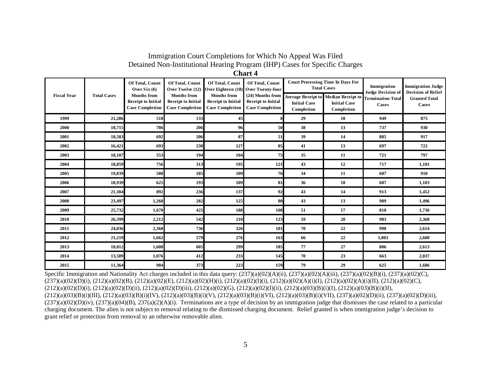# Immigration Court Completions for Which No Appeal Was Filed Detained Non-Institutional Hearing Program (IHP) Cases for Specific Charges

**Chart 4**

| <b>Fiscal Year</b> | <b>Total Cases</b> | Of Total, Count<br>Over $Six(6)$<br><b>Months from</b><br><b>Receipt to Initial</b><br><b>Case Completion</b> | Of Total, Count<br>Over Twelve (12)<br><b>Months</b> from<br><b>Receipt to Initial</b><br><b>Case Completion</b> | Of Total, Count<br>Over Eighteen (18) Over Twenty-four<br><b>Months</b> from<br><b>Receipt to Initial</b><br><b>Case Completion</b> | Of Total, Count<br>(24) Months from<br><b>Receipt to Initial</b><br><b>Case Completion</b> | <b>Average Receipt to</b><br><b>Initial Case</b><br>Completion | <b>Court Processing Time In Days For</b><br><b>Total Cases</b><br><b>Median Receipt to</b><br><b>Initial Case</b><br>Completion | Immigration<br><b>Judge Decision of</b><br><b>Termination Total</b><br>Cases | <b>Immigration Judge</b><br><b>Decision of Relief</b><br><b>Granted Total</b><br>Cases |
|--------------------|--------------------|---------------------------------------------------------------------------------------------------------------|------------------------------------------------------------------------------------------------------------------|-------------------------------------------------------------------------------------------------------------------------------------|--------------------------------------------------------------------------------------------|----------------------------------------------------------------|---------------------------------------------------------------------------------------------------------------------------------|------------------------------------------------------------------------------|----------------------------------------------------------------------------------------|
| 1999               | 21,286             | 518                                                                                                           | 133                                                                                                              | 45                                                                                                                                  |                                                                                            | 29                                                             | 10                                                                                                                              | 949                                                                          | 875                                                                                    |
| 2000               | 18,715             | 786                                                                                                           | 206                                                                                                              | 96                                                                                                                                  | 50                                                                                         | 38                                                             | 13                                                                                                                              | 737                                                                          | 930                                                                                    |
| 2001               | 18,583             | 692                                                                                                           | 206                                                                                                              | 87                                                                                                                                  | 51                                                                                         | 39                                                             | 14                                                                                                                              | 885                                                                          | 917                                                                                    |
| 2002               | 16,421             | 693                                                                                                           | 230                                                                                                              | 127                                                                                                                                 | 85                                                                                         | 41                                                             | 13                                                                                                                              | 697                                                                          | 722                                                                                    |
| 2003               | 18,107             | 553                                                                                                           | 194                                                                                                              | 104                                                                                                                                 | 75                                                                                         | 35                                                             | 11                                                                                                                              | 721                                                                          | 797                                                                                    |
| 2004               | 18,859             | 756                                                                                                           | 313                                                                                                              | 195                                                                                                                                 | 121                                                                                        | 43                                                             | 12                                                                                                                              | 717                                                                          | 1,101                                                                                  |
| 2005               | 19,839             | 588                                                                                                           | 185                                                                                                              | 109                                                                                                                                 | 76                                                                                         | 34                                                             | 11                                                                                                                              | 687                                                                          | 918                                                                                    |
| 2006               | 18,939             | 625                                                                                                           | 193                                                                                                              | 109                                                                                                                                 | 81                                                                                         | 36                                                             | 10                                                                                                                              | 687                                                                          | 1,103                                                                                  |
| 2007               | 21,304             | 892                                                                                                           | 236                                                                                                              | 137                                                                                                                                 | 92                                                                                         | 43                                                             | 14                                                                                                                              | 913                                                                          | 1,452                                                                                  |
| 2008               | 23,497             | 1,268                                                                                                         | 282                                                                                                              | 125                                                                                                                                 | 80                                                                                         | 43                                                             | 13                                                                                                                              | 989                                                                          | 1,496                                                                                  |
| 2009               | 25,732             | 1,670                                                                                                         | 425                                                                                                              | 188                                                                                                                                 | 108                                                                                        | 51                                                             | 17                                                                                                                              | 810                                                                          | 1,736                                                                                  |
| 2010               | 26,399             | 2,212                                                                                                         | 542                                                                                                              | 210                                                                                                                                 | 123                                                                                        | 59                                                             | 20                                                                                                                              | 983                                                                          | 2,368                                                                                  |
| 2011               | 24,036             | 2,368                                                                                                         | 736                                                                                                              | 326                                                                                                                                 | 181                                                                                        | 70                                                             | 22                                                                                                                              | 998                                                                          | 2,614                                                                                  |
| 2012               | 21,219             | 1,662                                                                                                         | 579                                                                                                              | 276                                                                                                                                 | 163                                                                                        | 66                                                             | 22                                                                                                                              | 1,003                                                                        | 2,608                                                                                  |
| 2013               | 18,012             | 1,688                                                                                                         | 605                                                                                                              | 299                                                                                                                                 | 185                                                                                        | 77                                                             | 27                                                                                                                              | 806                                                                          | 2,613                                                                                  |
| 2014               | 13,589             | 1,076                                                                                                         | 412                                                                                                              | 233                                                                                                                                 | 145                                                                                        | 70                                                             | 23                                                                                                                              | 663                                                                          | 2,037                                                                                  |
| 2015               | 11,364             | 984                                                                                                           | 373                                                                                                              | 223                                                                                                                                 | 159                                                                                        | 79                                                             | 29                                                                                                                              | 625                                                                          | 1,686                                                                                  |

Specific Immigration and Nationality Act charges included in this data query:  $(237)(a)(02)(A)(ii)$ ,  $(237)(a)(02)(A)(iii)$ ,  $(237)(a)(02)(B)(i)$ ,  $(237)(a)(02)(C)$ , (237)(a)(02)(D)(i), (212)(a)(02)(B), (212)(a)(02)(E), (212)(a)(02)(H)(i), (212)(a)(02)(I)(i), (212)(a)(02)(A)(i)(I), (212)(a)(02)(A)(i)(II), (212)(a)(02)(C),  $(212)(a)(02)(D)(i)$ ,  $(212)(a)(02)(D)(ii)$ ,  $(212)(a)(02)(D)(iii)$ ,  $(212)(a)(02)(G)$ ,  $(212)(a)(02)(I)(ii)$ ,  $(212)(a)(03)(B)(i)(I)$ ,  $(212)(a)(03)(B)(i)(II)$ , (212)(a)(03)(B)(i)(III), (212)(a)(03)(B)(i)(IV), (212)(a)(03)(B)(i)(V), (212)(a)(03)(B)(i)(VI), (212)(a)(03)(B)(i)(VII), (237)(a)(02)(D)(ii), (237)(a)(02)(D)(iii),  $(237)(a)(02)(D)(iv)$ ,  $(237)(a)(04)(B)$ ,  $237(a)(2)(A)(i)$ . Terminations are a type of decision by an immigration judge that dismisses the case related to a particular charging document. The alien is not subject to removal relating to the dismissed charging document. Relief granted is when immigration judge's decision to grant relief or protection from removal to an otherwise removable alien.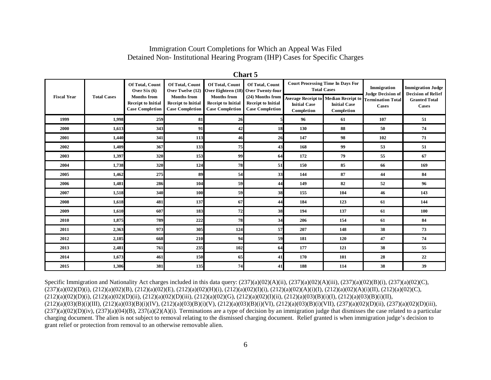#### Immigration Court Completions for Which an Appeal Was Filed Detained Non- Institutional Hearing Program (IHP) Cases for Specific Charges

| <b>Fiscal Year</b> | <b>Total Cases</b> | Of Total, Count<br>Over $Six(6)$<br><b>Months from</b><br><b>Receipt to Initial</b><br><b>Case Completion</b> | Of Total, Count<br>Over Twelve (12)<br><b>Months from</b><br><b>Receipt to Initial</b><br><b>Case Completion</b> | Of Total, Count<br>Over Eighteen (18)<br><b>Months from</b><br><b>Receipt to Initial</b><br><b>Case Completion</b> | Of Total, Count<br><b>Over Twenty-four</b><br>(24) Months from<br><b>Receipt to Initial</b><br><b>Case Completion</b> | <b>Court Processing Time In Days For</b><br><b>Total Cases</b> |                                                                                  | Immigration<br><b>Judge Decision of</b> | <b>Immigration Judge</b><br><b>Decision of Relief</b> |  |  |
|--------------------|--------------------|---------------------------------------------------------------------------------------------------------------|------------------------------------------------------------------------------------------------------------------|--------------------------------------------------------------------------------------------------------------------|-----------------------------------------------------------------------------------------------------------------------|----------------------------------------------------------------|----------------------------------------------------------------------------------|-----------------------------------------|-------------------------------------------------------|--|--|
|                    |                    |                                                                                                               |                                                                                                                  |                                                                                                                    |                                                                                                                       | <b>Initial Case</b><br>Completion                              | <b>Average Receipt to Median Receipt to</b><br><b>Initial Case</b><br>Completion | <b>Termination Total</b><br>Cases       | <b>Granted Total</b><br>Cases                         |  |  |
| 1999               | 1,998              | 259                                                                                                           | 81                                                                                                               | 26                                                                                                                 |                                                                                                                       | 96                                                             | 61                                                                               | 107                                     | 51                                                    |  |  |
| 2000               | 1,613              | 343                                                                                                           | 91                                                                                                               | 42                                                                                                                 | 18                                                                                                                    | 130                                                            | 88                                                                               | 50                                      | 74                                                    |  |  |
| 2001               | 1,440              | 341                                                                                                           | 113                                                                                                              | 46                                                                                                                 | 26                                                                                                                    | 147                                                            | 98                                                                               | 102                                     | 71                                                    |  |  |
| 2002               | 1,409              | 367                                                                                                           | 133                                                                                                              | 75                                                                                                                 | 43                                                                                                                    | 168                                                            | 99                                                                               | 53                                      | 51                                                    |  |  |
| 2003               | 1,397              | 320                                                                                                           | 153                                                                                                              | 99                                                                                                                 | 64                                                                                                                    | 172                                                            | 79                                                                               | 55                                      | 67                                                    |  |  |
| 2004               | 1,738              | 320                                                                                                           | 124                                                                                                              | 78                                                                                                                 | 51                                                                                                                    | 150                                                            | 85                                                                               | 66                                      | 169                                                   |  |  |
| 2005               | 1,462              | 275                                                                                                           | 89                                                                                                               | 54                                                                                                                 | 33                                                                                                                    | 144                                                            | 87                                                                               | 44                                      | 84                                                    |  |  |
| 2006               | 1,481              | 286                                                                                                           | 104                                                                                                              | 59                                                                                                                 | 44                                                                                                                    | 149                                                            | 82                                                                               | 52                                      | 96                                                    |  |  |
| 2007               | 1,518              | 340                                                                                                           | 100                                                                                                              | 59                                                                                                                 | 38                                                                                                                    | 155                                                            | 104                                                                              | 46                                      | 143                                                   |  |  |
| 2008               | 1,618              | 481                                                                                                           | 137                                                                                                              | 67                                                                                                                 | 44                                                                                                                    | 184                                                            | 123                                                                              | 61                                      | 144                                                   |  |  |
| 2009               | 1,610              | 607                                                                                                           | 183                                                                                                              | 72                                                                                                                 | 38                                                                                                                    | 194                                                            | 137                                                                              | 61                                      | 100                                                   |  |  |
| 2010               | 1,875              | 789                                                                                                           | 222                                                                                                              | 78                                                                                                                 | 34                                                                                                                    | 206                                                            | 154                                                                              | 61                                      | 84                                                    |  |  |
| 2011               | 2,363              | 973                                                                                                           | 305                                                                                                              | 124                                                                                                                | 57                                                                                                                    | 207                                                            | 148                                                                              | 38                                      | 73                                                    |  |  |
| 2012               | 2,185              | 668                                                                                                           | 210                                                                                                              | 94                                                                                                                 | 59                                                                                                                    | 181                                                            | 120                                                                              | 47                                      | 74                                                    |  |  |
| 2013               | 2,481              | 761                                                                                                           | 235                                                                                                              | 102                                                                                                                | 64                                                                                                                    | 177                                                            | 121                                                                              | 38                                      | 55                                                    |  |  |
| 2014               | 1,673              | 461                                                                                                           | 150                                                                                                              | 65                                                                                                                 | 41                                                                                                                    | 170                                                            | 101                                                                              | 28                                      | 22                                                    |  |  |
| 2015               | 1,306              | 381                                                                                                           | 135                                                                                                              | 74                                                                                                                 | 41                                                                                                                    | 188                                                            | 114                                                                              | 38                                      | 39                                                    |  |  |

**Chart 5**

Specific Immigration and Nationality Act charges included in this data query:  $(237)(a)(02)(A)(ii)$ ,  $(237)(a)(02)(A)(iii)$ ,  $(237)(a)(02)(B)(i)$ ,  $(237)(a)(02)(C)$ , (237)(a)(02)(D)(i), (212)(a)(02)(B), (212)(a)(02)(E), (212)(a)(02)(H)(i), (212)(a)(02)(I)(i), (212)(a)(02)(A)(i)(I), (212)(a)(02)(A)(i)(II), (212)(a)(02)(C),  $(212)(a)(02)(D)(i)$ ,  $(212)(a)(02)(D)(ii)$ ,  $(212)(a)(02)(D)(iii)$ ,  $(212)(a)(02)(G)$ ,  $(212)(a)(02)(I)(ii)$ ,  $(212)(a)(03)(B)(i)(I)$ ,  $(212)(a)(03)(B)(i)(II)$ , (212)(a)(03)(B)(i)(III), (212)(a)(03)(B)(i)(IV), (212)(a)(03)(B)(i)(V), (212)(a)(03)(B)(i)(VI), (212)(a)(03)(B)(i)(VII), (237)(a)(02)(D)(ii), (237)(a)(02)(D)(iii),  $(237)(a)(02)(D)(iv)$ ,  $(237)(a)(04)(B)$ ,  $237(a)(2)(A)(i)$ . Terminations are a type of decision by an immigration judge that dismisses the case related to a particular charging document. The alien is not subject to removal relating to the dismissed charging document. Relief granted is when immigration judge's decision to grant relief or protection from removal to an otherwise removable alien.